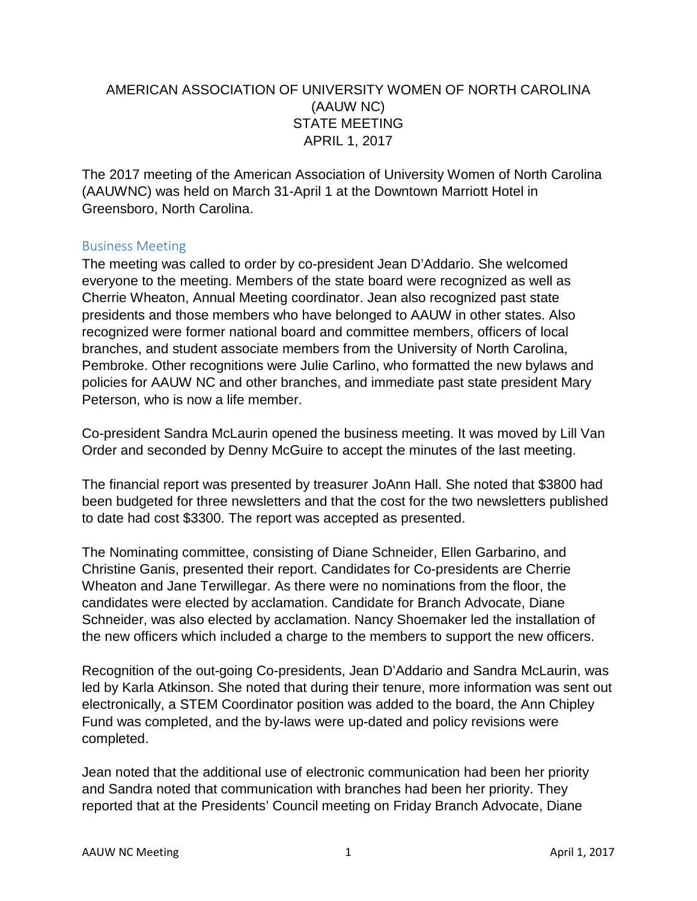## AMERICAN ASSOCIATION OF UNIVERSITY WOMEN OF NORTH CAROLINA (AAUW NC) STATE MEETING APRIL 1, 2017

The 2017 meeting of the American Association of University Women of North Carolina (AAUWNC) was held on March 31-April 1 at the Downtown Marriott Hotel in Greensboro, North Carolina.

## Business Meeting

The meeting was called to order by co-president Jean D'Addario. She welcomed everyone to the meeting. Members of the state board were recognized as well as Cherrie Wheaton, Annual Meeting coordinator. Jean also recognized past state presidents and those members who have belonged to AAUW in other states. Also recognized were former national board and committee members, officers of local branches, and student associate members from the University of North Carolina, Pembroke. Other recognitions were Julie Carlino, who formatted the new bylaws and policies for AAUW NC and other branches, and immediate past state president Mary Peterson, who is now a life member.

Co-president Sandra McLaurin opened the business meeting. It was moved by Lill Van Order and seconded by Denny McGuire to accept the minutes of the last meeting.

The financial report was presented by treasurer JoAnn Hall. She noted that \$3800 had been budgeted for three newsletters and that the cost for the two newsletters published to date had cost \$3300. The report was accepted as presented.

The Nominating committee, consisting of Diane Schneider, Ellen Garbarino, and Christine Ganis, presented their report. Candidates for Co-presidents are Cherrie Wheaton and Jane Terwillegar. As there were no nominations from the floor, the candidates were elected by acclamation. Candidate for Branch Advocate, Diane Schneider, was also elected by acclamation. Nancy Shoemaker led the installation of the new officers which included a charge to the members to support the new officers.

Recognition of the out-going Co-presidents, Jean D'Addario and Sandra McLaurin, was led by Karla Atkinson. She noted that during their tenure, more information was sent out electronically, a STEM Coordinator position was added to the board, the Ann Chipley Fund was completed, and the by-laws were up-dated and policy revisions were completed.

Jean noted that the additional use of electronic communication had been her priority and Sandra noted that communication with branches had been her priority. They reported that at the Presidents' Council meeting on Friday Branch Advocate, Diane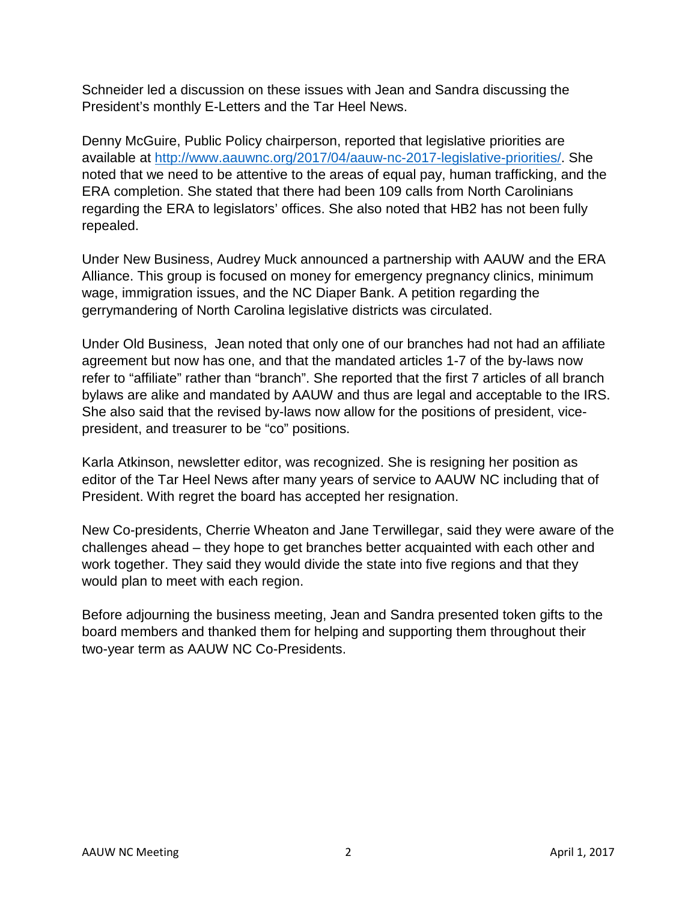Schneider led a discussion on these issues with Jean and Sandra discussing the President's monthly E-Letters and the Tar Heel News.

Denny McGuire, Public Policy chairperson, reported that legislative priorities are available at [http://www.aauwnc.org/2017/04/aauw-nc-2017-legislative-priorities/.](http://www.aauwnc.org/2017/04/aauw-nc-2017-legislative-priorities/) She noted that we need to be attentive to the areas of equal pay, human trafficking, and the ERA completion. She stated that there had been 109 calls from North Carolinians regarding the ERA to legislators' offices. She also noted that HB2 has not been fully repealed.

Under New Business, Audrey Muck announced a partnership with AAUW and the ERA Alliance. This group is focused on money for emergency pregnancy clinics, minimum wage, immigration issues, and the NC Diaper Bank. A petition regarding the gerrymandering of North Carolina legislative districts was circulated.

Under Old Business, Jean noted that only one of our branches had not had an affiliate agreement but now has one, and that the mandated articles 1-7 of the by-laws now refer to "affiliate" rather than "branch". She reported that the first 7 articles of all branch bylaws are alike and mandated by AAUW and thus are legal and acceptable to the IRS. She also said that the revised by-laws now allow for the positions of president, vicepresident, and treasurer to be "co" positions.

Karla Atkinson, newsletter editor, was recognized. She is resigning her position as editor of the Tar Heel News after many years of service to AAUW NC including that of President. With regret the board has accepted her resignation.

New Co-presidents, Cherrie Wheaton and Jane Terwillegar, said they were aware of the challenges ahead – they hope to get branches better acquainted with each other and work together. They said they would divide the state into five regions and that they would plan to meet with each region.

Before adjourning the business meeting, Jean and Sandra presented token gifts to the board members and thanked them for helping and supporting them throughout their two-year term as AAUW NC Co-Presidents.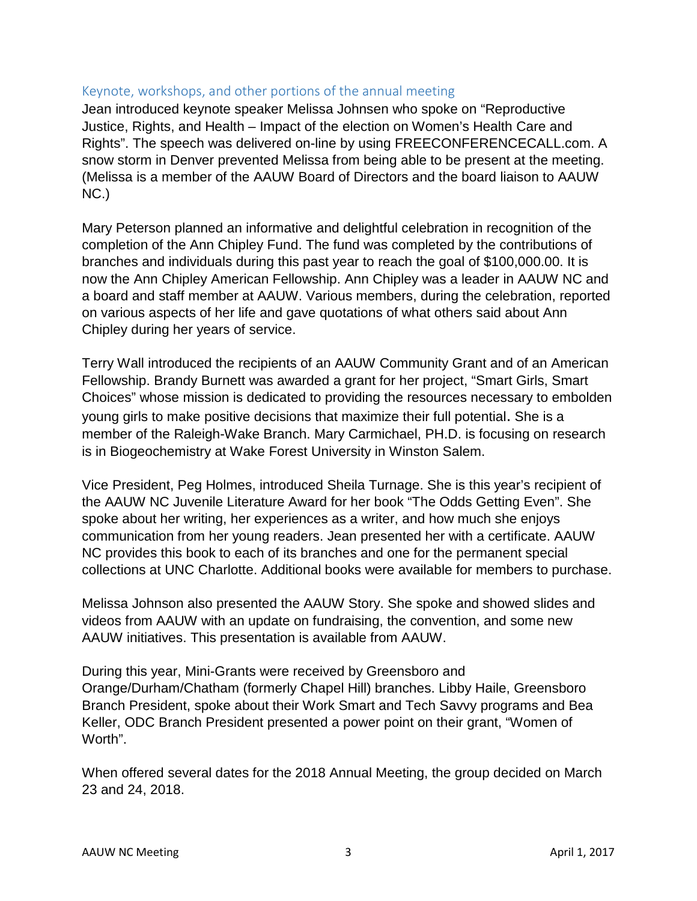## Keynote, workshops, and other portions of the annual meeting

Jean introduced keynote speaker Melissa Johnsen who spoke on "Reproductive Justice, Rights, and Health – Impact of the election on Women's Health Care and Rights". The speech was delivered on-line by using FREECONFERENCECALL.com. A snow storm in Denver prevented Melissa from being able to be present at the meeting. (Melissa is a member of the AAUW Board of Directors and the board liaison to AAUW NC.)

Mary Peterson planned an informative and delightful celebration in recognition of the completion of the Ann Chipley Fund. The fund was completed by the contributions of branches and individuals during this past year to reach the goal of \$100,000.00. It is now the Ann Chipley American Fellowship. Ann Chipley was a leader in AAUW NC and a board and staff member at AAUW. Various members, during the celebration, reported on various aspects of her life and gave quotations of what others said about Ann Chipley during her years of service.

Terry Wall introduced the recipients of an AAUW Community Grant and of an American Fellowship. Brandy Burnett was awarded a grant for her project, "Smart Girls, Smart Choices" whose mission is dedicated to providing the resources necessary to embolden young girls to make positive decisions that maximize their full potential. She is a member of the Raleigh-Wake Branch. Mary Carmichael, PH.D. is focusing on research is in Biogeochemistry at Wake Forest University in Winston Salem.

Vice President, Peg Holmes, introduced Sheila Turnage. She is this year's recipient of the AAUW NC Juvenile Literature Award for her book "The Odds Getting Even". She spoke about her writing, her experiences as a writer, and how much she enjoys communication from her young readers. Jean presented her with a certificate. AAUW NC provides this book to each of its branches and one for the permanent special collections at UNC Charlotte. Additional books were available for members to purchase.

Melissa Johnson also presented the AAUW Story. She spoke and showed slides and videos from AAUW with an update on fundraising, the convention, and some new AAUW initiatives. This presentation is available from AAUW.

During this year, Mini-Grants were received by Greensboro and Orange/Durham/Chatham (formerly Chapel Hill) branches. Libby Haile, Greensboro Branch President, spoke about their Work Smart and Tech Savvy programs and Bea Keller, ODC Branch President presented a power point on their grant, "Women of Worth".

When offered several dates for the 2018 Annual Meeting, the group decided on March 23 and 24, 2018.